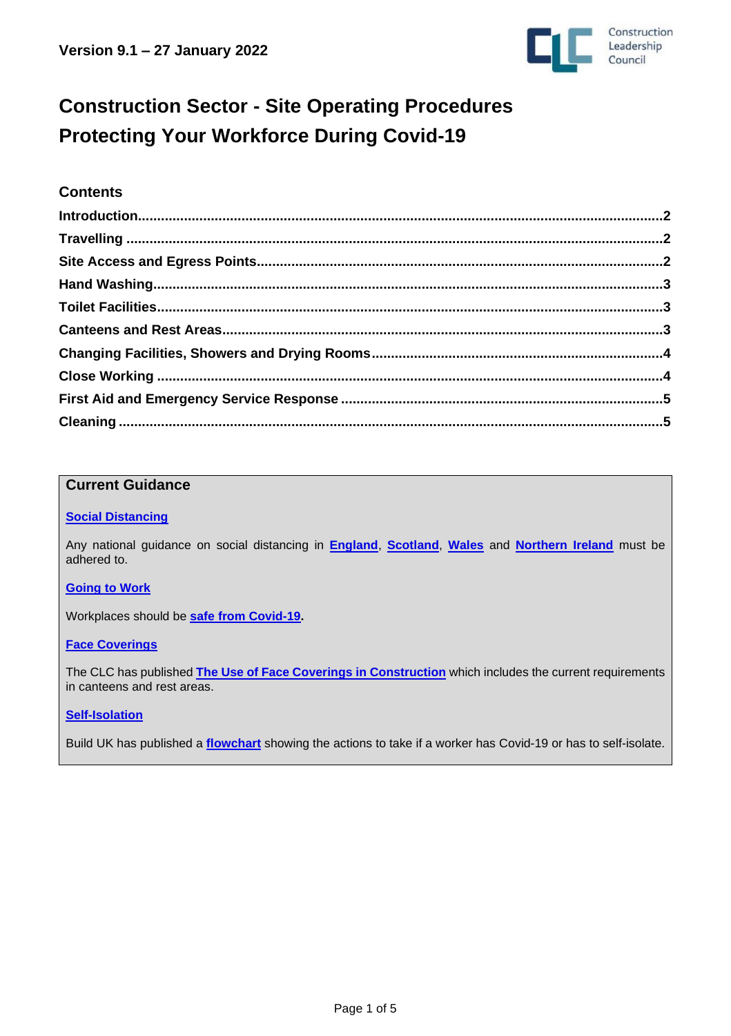

# **Construction Sector - Site Operating Procedures Protecting Your Workforce During Covid-19**

## **Contents**

## **Current Guidance**

#### **Social [Distancing](https://www.gov.uk/guidance/covid-19-coronavirus-restrictions-what-you-can-and-cannot-do)**

Any national guidance on social distancing in **[England](https://www.gov.uk/guidance/covid-19-coronavirus-restrictions-what-you-can-and-cannot-do)**, **[Scotland](https://www.gov.scot/coronavirus-covid-19/)**, **[Wales](https://gov.wales/coronavirus-social-distancing-guidance)** and **[Northern](https://www.nidirect.gov.uk/articles/coronavirus-covid-19-regulations-guidance-what-restrictions-mean-you) Ireland** must be adhered to.

#### **[Going](https://www.gov.uk/guidance/working-safely-during-coronavirus-covid-19/construction-and-other-outdoor-work) to Work**

Workplaces should be **safe from [Covid-19.](https://www.hse.gov.uk/coronavirus/working-safely/index.htm)**

#### **Face [Coverings](https://www.gov.uk/government/publications/face-coverings-when-to-wear-one-and-how-to-make-your-own/face-coverings-when-to-wear-one-and-how-to-make-your-own)**

The CLC has published **The Use of Face Coverings in [Construction](https://www.constructionleadershipcouncil.co.uk/wp-content/uploads/2022/01/The-Use-of-Face-Coverings-in-Construction-during-Coronavirus-Version-6.pdf)** which includes the current requirements in canteens and rest areas.

#### **[Self-Isolation](https://www.nhs.uk/conditions/coronavirus-covid-19/self-isolation-and-treatment/when-to-self-isolate-and-what-to-do/)**

Build UK has published a **[flowchart](https://builduk.org/wp-content/uploads/2020/10/What-To-Do-If-A-Worker-Has-COVID-19-Or-Has-To-Self-Isolate.pdf)** showing the actions to take if a worker has Covid-19 or has to self-isolate.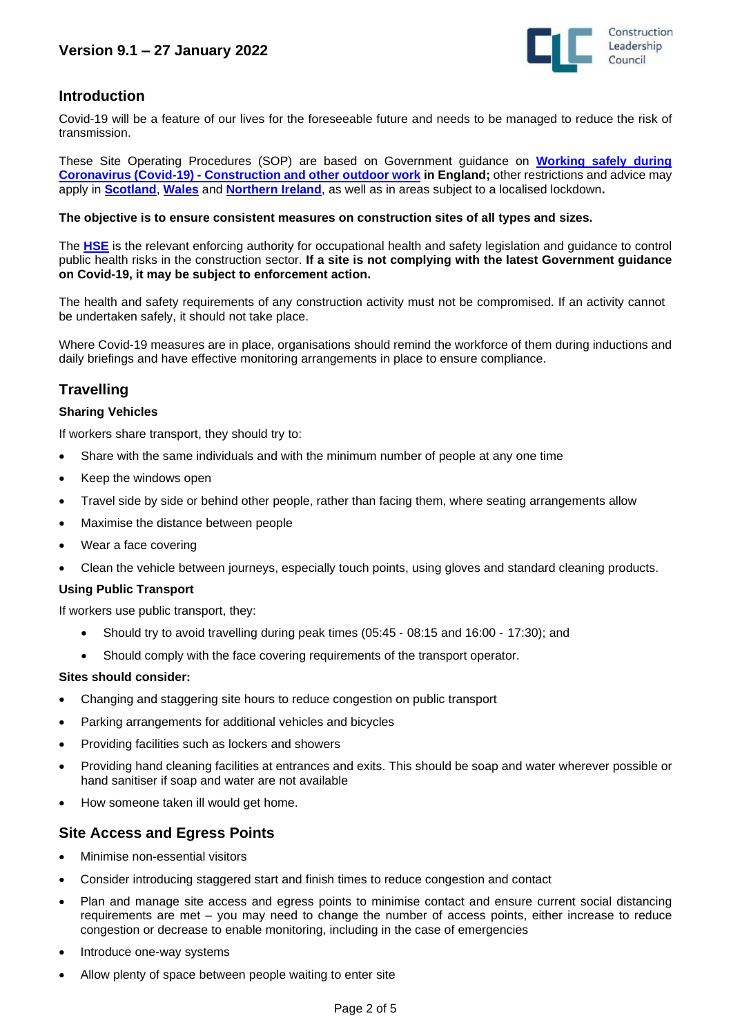

## <span id="page-1-0"></span>**Introduction**

Covid-19 will be a feature of our lives for the foreseeable future and needs to be managed to reduce the risk of transmission.

These Site Operating Procedures (SOP) are based on Government guidance on **[Working](https://www.gov.uk/guidance/working-safely-during-coronavirus-covid-19/construction-and-other-outdoor-work) safely during Coronavirus (Covid-19) - [Construction](https://www.gov.uk/guidance/working-safely-during-coronavirus-covid-19/construction-and-other-outdoor-work) and other outdoor work in England;** other restrictions and advice may apply in **[Scotland](https://cicvforum.co.uk/wp-content/uploads/2021/11/CICV-SOP-Guidance-Book-v8-251121.pdf)**, **[Wales](https://gov.wales/alert-level-2-guidance-employers-businesses-and-organisations-html)** and **[Northern](https://www.nibusinessinfo.co.uk/content/coronavirus-workplace-safety-guidelines-and-social-distancing) Ireland**, as well as in areas subject to a localised lockdown**.**

#### **The objective is to ensure consistent measures on construction sites of all types and sizes.**

The **[HSE](https://www.hse.gov.uk/coronavirus/index.htm)** is the relevant enforcing authority for occupational health and safety legislation and guidance to control public health risks in the construction sector. **If a site is not complying with the latest Government guidance on Covid-19, it may be subject to enforcement action.**

The health and safety requirements of any construction activity must not be compromised. If an activity cannot be undertaken safely, it should not take place.

Where Covid-19 measures are in place, organisations should remind the workforce of them during inductions and daily briefings and have effective monitoring arrangements in place to ensure compliance.

# <span id="page-1-1"></span>**Travelling**

#### **Sharing Vehicles**

If workers share transport, they should try to:

- Share with the same individuals and with the minimum number of people at any one time
- Keep the windows open
- Travel side by side or behind other people, rather than facing them, where seating arrangements allow
- Maximise the distance between people
- Wear a face covering
- Clean the vehicle between journeys, especially touch points, using gloves and standard cleaning products.

#### **Using Public Transport**

If workers use public transport, they:

- Should try to avoid travelling during peak times (05:45 ‐ 08:15 and 16:00 ‐ 17:30); and
- Should comply with the face covering requirements of the transport operator.

#### **Sites should consider:**

- Changing and staggering site hours to reduce congestion on public transport
- Parking arrangements for additional vehicles and bicycles
- Providing facilities such as lockers and showers
- Providing hand cleaning facilities at entrances and exits. This should be soap and water wherever possible or hand sanitiser if soap and water are not available
- How someone taken ill would get home.

## <span id="page-1-2"></span>**Site Access and Egress Points**

- Minimise non-essential visitors
- Consider introducing staggered start and finish times to reduce congestion and contact
- Plan and manage site access and egress points to minimise contact and ensure current social distancing requirements are met – you may need to change the number of access points, either increase to reduce congestion or decrease to enable monitoring, including in the case of emergencies
- Introduce one-way systems
- Allow plenty of space between people waiting to enter site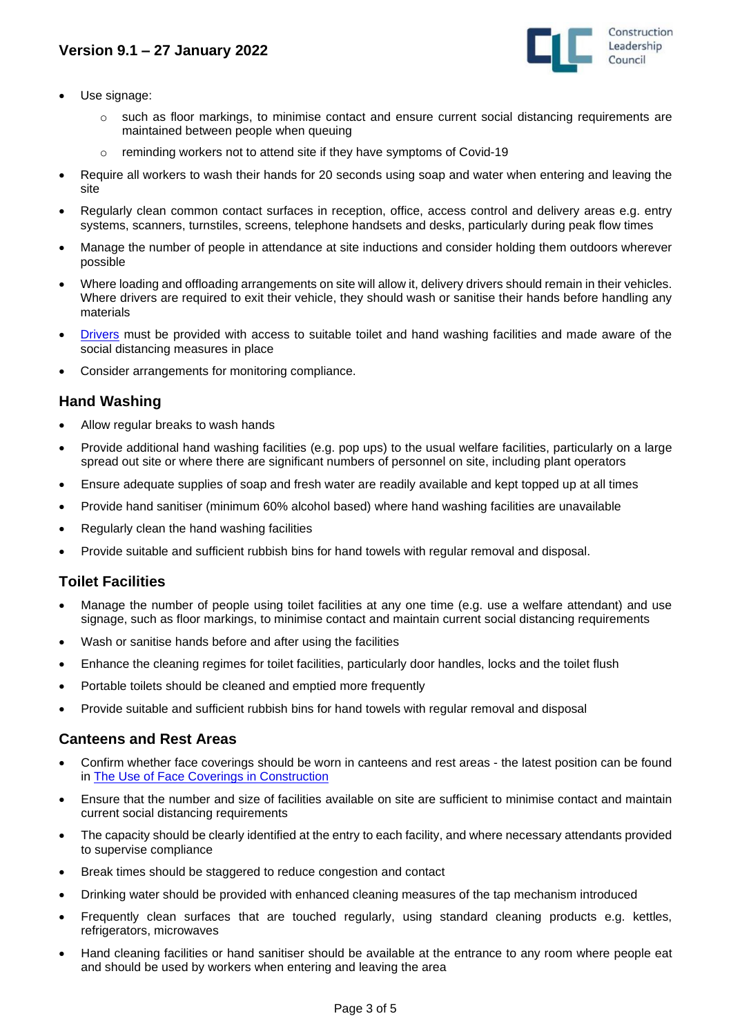

- Use signage:
	- o such as floor markings, to minimise contact and ensure current social distancing requirements are maintained between people when queuing
	- o reminding workers not to attend site if they have symptoms of Covid-19
- Require all workers to wash their hands for 20 seconds using soap and water when entering and leaving the site
- Regularly clean common contact surfaces in reception, office, access control and delivery areas e.g. entry systems, scanners, turnstiles, screens, telephone handsets and desks, particularly during peak flow times
- Manage the number of people in attendance at site inductions and consider holding them outdoors wherever possible
- Where loading and offloading arrangements on site will allow it, delivery drivers should remain in their vehicles. Where drivers are required to exit their vehicle, they should wash or sanitise their hands before handling any materials
- [Drivers](https://www.hse.gov.uk/coronavirus/drivers-transport-delivery.htm) must be provided with access to suitable toilet and hand washing facilities and made aware of the social distancing measures in place
- Consider arrangements for monitoring compliance.

### <span id="page-2-0"></span>**Hand Washing**

- Allow regular breaks to wash hands
- Provide additional hand washing facilities (e.g. pop ups) to the usual welfare facilities, particularly on a large spread out site or where there are significant numbers of personnel on site, including plant operators
- Ensure adequate supplies of soap and fresh water are readily available and kept topped up at all times
- Provide hand sanitiser (minimum 60% alcohol based) where hand washing facilities are unavailable
- Regularly clean the hand washing facilities
- Provide suitable and sufficient rubbish bins for hand towels with regular removal and disposal.

## <span id="page-2-1"></span>**Toilet Facilities**

- Manage the number of people using toilet facilities at any one time (e.g. use a welfare attendant) and use signage, such as floor markings, to minimise contact and maintain current social distancing requirements
- Wash or sanitise hands before and after using the facilities
- Enhance the cleaning regimes for toilet facilities, particularly door handles, locks and the toilet flush
- Portable toilets should be cleaned and emptied more frequently
- Provide suitable and sufficient rubbish bins for hand towels with regular removal and disposal

#### <span id="page-2-2"></span>**Canteens and Rest Areas**

- Confirm whether face coverings should be worn in canteens and rest areas the latest position can be found in The Use of Face Coverings in [Construction](https://www.constructionleadershipcouncil.co.uk/wp-content/uploads/2021/12/The-Use-of-Face-Coverings-in-Construction-during-Coronavirus-Version-5.pdf)
- Ensure that the number and size of facilities available on site are sufficient to minimise contact and maintain current social distancing requirements
- The capacity should be clearly identified at the entry to each facility, and where necessary attendants provided to supervise compliance
- Break times should be staggered to reduce congestion and contact
- Drinking water should be provided with enhanced cleaning measures of the tap mechanism introduced
- Frequently clean surfaces that are touched regularly, using standard cleaning products e.g. kettles, refrigerators, microwaves
- Hand cleaning facilities or hand sanitiser should be available at the entrance to any room where people eat and should be used by workers when entering and leaving the area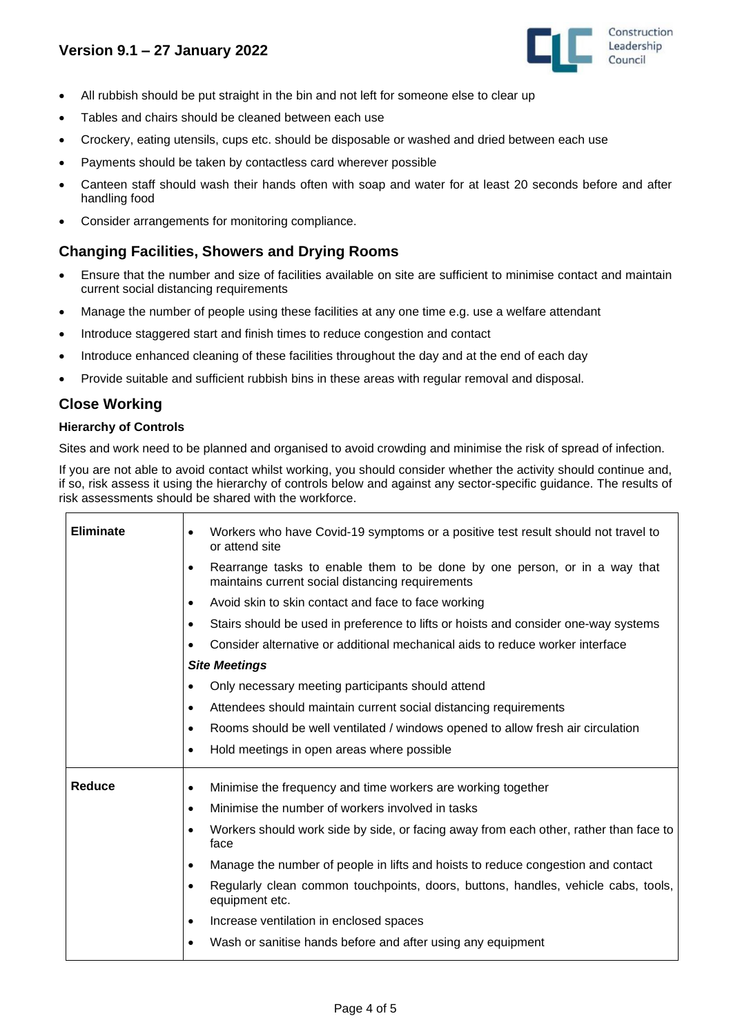

- All rubbish should be put straight in the bin and not left for someone else to clear up
- Tables and chairs should be cleaned between each use
- Crockery, eating utensils, cups etc. should be disposable or washed and dried between each use
- Payments should be taken by contactless card wherever possible
- Canteen staff should wash their hands often with soap and water for at least 20 seconds before and after handling food
- <span id="page-3-0"></span>• Consider arrangements for monitoring compliance.

# **Changing Facilities, Showers and Drying Rooms**

- Ensure that the number and size of facilities available on site are sufficient to minimise contact and maintain current social distancing requirements
- Manage the number of people using these facilities at any one time e.g. use a welfare attendant
- Introduce staggered start and finish times to reduce congestion and contact
- Introduce enhanced cleaning of these facilities throughout the day and at the end of each day
- Provide suitable and sufficient rubbish bins in these areas with regular removal and disposal.

# <span id="page-3-1"></span>**Close Working**

#### **Hierarchy of Controls**

Sites and work need to be planned and organised to avoid crowding and minimise the risk of spread of infection.

If you are not able to avoid contact whilst working, you should consider whether the activity should continue and, if so, risk assess it using the hierarchy of controls below and against any sector-specific guidance. The results of risk assessments should be shared with the workforce.

| <b>Eliminate</b> | Workers who have Covid-19 symptoms or a positive test result should not travel to<br>or attend site                                        |  |
|------------------|--------------------------------------------------------------------------------------------------------------------------------------------|--|
|                  | Rearrange tasks to enable them to be done by one person, or in a way that<br>$\bullet$<br>maintains current social distancing requirements |  |
|                  | Avoid skin to skin contact and face to face working<br>٠                                                                                   |  |
|                  | Stairs should be used in preference to lifts or hoists and consider one-way systems<br>$\bullet$                                           |  |
|                  | Consider alternative or additional mechanical aids to reduce worker interface                                                              |  |
|                  | <b>Site Meetings</b>                                                                                                                       |  |
|                  | Only necessary meeting participants should attend                                                                                          |  |
|                  | Attendees should maintain current social distancing requirements<br>$\bullet$                                                              |  |
|                  | Rooms should be well ventilated / windows opened to allow fresh air circulation<br>٠                                                       |  |
|                  | Hold meetings in open areas where possible<br>$\bullet$                                                                                    |  |
| Reduce           | Minimise the frequency and time workers are working together<br>$\bullet$                                                                  |  |
|                  | Minimise the number of workers involved in tasks<br>$\bullet$                                                                              |  |
|                  | Workers should work side by side, or facing away from each other, rather than face to<br>$\bullet$<br>face                                 |  |
|                  | Manage the number of people in lifts and hoists to reduce congestion and contact<br>$\bullet$                                              |  |
|                  | Regularly clean common touchpoints, doors, buttons, handles, vehicle cabs, tools,<br>equipment etc.                                        |  |
|                  | Increase ventilation in enclosed spaces<br>٠                                                                                               |  |
|                  | Wash or sanitise hands before and after using any equipment                                                                                |  |